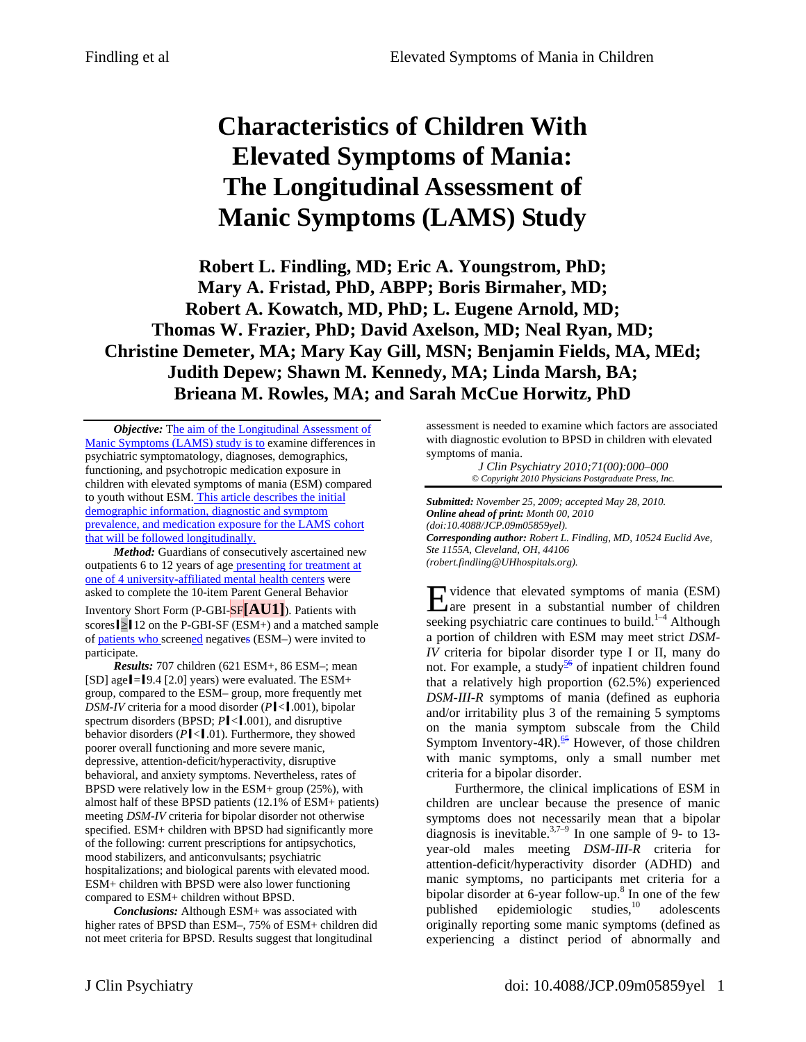# **Characteristics of Children With Elevated Symptoms of Mania: The Longitudinal Assessment of Manic Symptoms (LAMS) Study**

**Robert L. Findling, MD; Eric A. Youngstrom, PhD; Mary A. Fristad, PhD, ABPP; Boris Birmaher, MD; Robert A. Kowatch, MD, PhD; L. Eugene Arnold, MD; Thomas W. Frazier, PhD; David Axelson, MD; Neal Ryan, MD; Christine Demeter, MA; Mary Kay Gill, MSN; Benjamin Fields, MA, MEd; Judith Depew; Shawn M. Kennedy, MA; Linda Marsh, BA; Brieana M. Rowles, MA; and Sarah McCue Horwitz, PhD** 

*Objective:* The aim of the Longitudinal Assessment of Manic Symptoms (LAMS) study is to examine differences in psychiatric symptomatology, diagnoses, demographics, functioning, and psychotropic medication exposure in children with elevated symptoms of mania (ESM) compared to youth without ESM. This article describes the initial demographic information, diagnostic and symptom prevalence, and medication exposure for the LAMS cohort that will be followed longitudinally.

*Method:* Guardians of consecutively ascertained new outpatients 6 to 12 years of age presenting for treatment at one of 4 university-affiliated mental health centers were asked to complete the 10-item Parent General Behavior Inventory Short Form (P-GBI-SF**[AU1]**). Patients with scores  $\geq$  12 on the P-GBI-SF (ESM+) and a matched sample of patients who screened negatives (ESM–) were invited to participate.

*Results:* 707 children (621 ESM+, 86 ESM–; mean [SD] age  $\blacksquare$  = [9.4 [2.0] years) were evaluated. The ESM+ group, compared to the ESM– group, more frequently met *DSM-IV* criteria for a mood disorder (*Pccl.001*), bipolar spectrum disorders (BPSD;  $P$ **|**<**[**.001], and disruptive behavior disorders ( $P$ **l**<**l**.01). Furthermore, they showed poorer overall functioning and more severe manic, depressive, attention-deficit/hyperactivity, disruptive behavioral, and anxiety symptoms. Nevertheless, rates of BPSD were relatively low in the ESM+ group (25%), with almost half of these BPSD patients (12.1% of ESM+ patients) meeting *DSM-IV* criteria for bipolar disorder not otherwise specified. ESM+ children with BPSD had significantly more of the following: current prescriptions for antipsychotics, mood stabilizers, and anticonvulsants; psychiatric hospitalizations; and biological parents with elevated mood. ESM+ children with BPSD were also lower functioning compared to ESM+ children without BPSD.

*Conclusions:* Although ESM+ was associated with higher rates of BPSD than ESM–, 75% of ESM+ children did not meet criteria for BPSD. Results suggest that longitudinal

assessment is needed to examine which factors are associated with diagnostic evolution to BPSD in children with elevated symptoms of mania.

*J Clin Psychiatry 2010;71(00):000–000 © Copyright 2010 Physicians Postgraduate Press, Inc.* 

*Submitted: November 25, 2009; accepted May 28, 2010. Online ahead of print: Month 00, 2010 (doi:10.4088/JCP.09m05859yel). Corresponding author: Robert L. Findling, MD, 10524 Euclid Ave, Ste 1155A, Cleveland, OH, 44106 (robert.findling@UHhospitals.org).* 

vidence that elevated symptoms of mania (ESM) Evidence that elevated symptoms of mania (ESM)<br>rate present in a substantial number of children seeking psychiatric care continues to build.<sup>1-4</sup> Although a portion of children with ESM may meet strict *DSM-IV* criteria for bipolar disorder type I or II, many do not. For example, a study<sup>56</sup> of inpatient children found that a relatively high proportion (62.5%) experienced *DSM-III-R* symptoms of mania (defined as euphoria and/or irritability plus 3 of the remaining 5 symptoms on the mania symptom subscale from the Child Symptom Inventory-4R).<sup>65</sup> However, of those children with manic symptoms, only a small number met criteria for a bipolar disorder.

Furthermore, the clinical implications of ESM in children are unclear because the presence of manic symptoms does not necessarily mean that a bipolar diagnosis is inevitable.<sup>3,7–9</sup> In one sample of 9- to 13year-old males meeting *DSM-III-R* criteria for attention-deficit/hyperactivity disorder (ADHD) and manic symptoms, no participants met criteria for a bipolar disorder at 6-year follow-up.<sup>8</sup> In one of the few published epidemiologic studies,10 adolescents originally reporting some manic symptoms (defined as experiencing a distinct period of abnormally and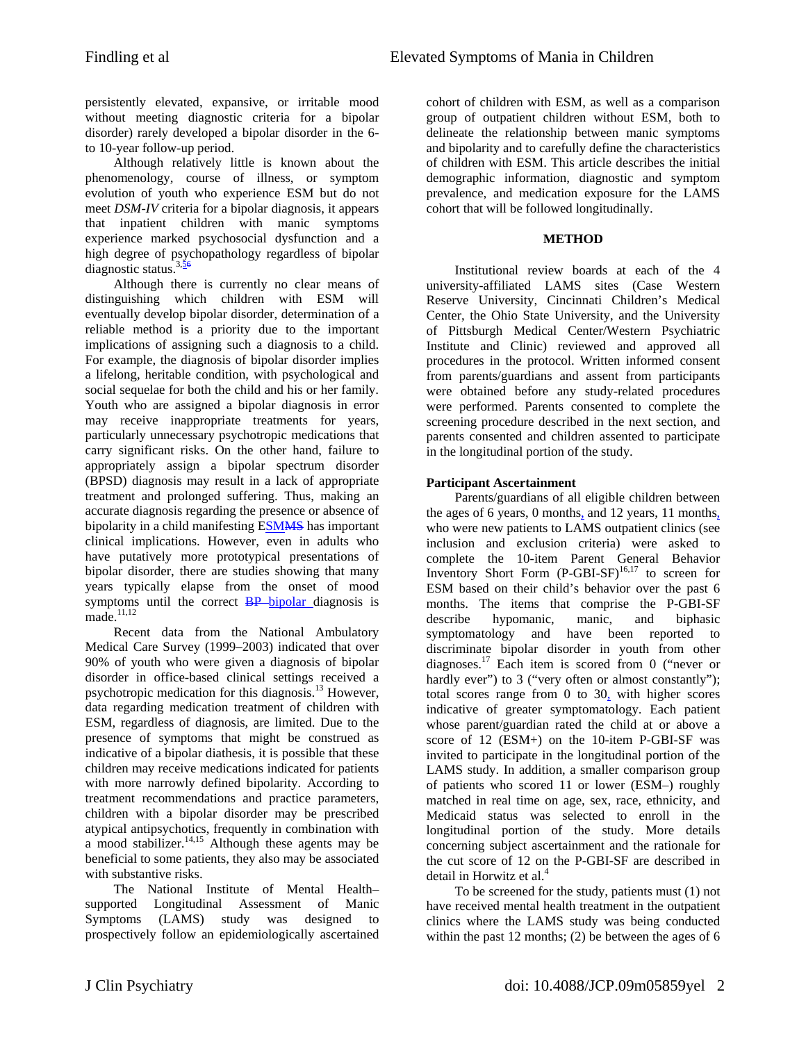persistently elevated, expansive, or irritable mood without meeting diagnostic criteria for a bipolar disorder) rarely developed a bipolar disorder in the 6 to 10-year follow-up period.

Although relatively little is known about the phenomenology, course of illness, or symptom evolution of youth who experience ESM but do not meet *DSM-IV* criteria for a bipolar diagnosis, it appears that inpatient children with manic symptoms experience marked psychosocial dysfunction and a high degree of psychopathology regardless of bipolar diagnostic status. $3,56$ 

Although there is currently no clear means of distinguishing which children with ESM will eventually develop bipolar disorder, determination of a reliable method is a priority due to the important implications of assigning such a diagnosis to a child. For example, the diagnosis of bipolar disorder implies a lifelong, heritable condition, with psychological and social sequelae for both the child and his or her family. Youth who are assigned a bipolar diagnosis in error may receive inappropriate treatments for years, particularly unnecessary psychotropic medications that carry significant risks. On the other hand, failure to appropriately assign a bipolar spectrum disorder (BPSD) diagnosis may result in a lack of appropriate treatment and prolonged suffering. Thus, making an accurate diagnosis regarding the presence or absence of bipolarity in a child manifesting ESMMS has important clinical implications. However, even in adults who have putatively more prototypical presentations of bipolar disorder, there are studies showing that many years typically elapse from the onset of mood symptoms until the correct **BP** bipolar diagnosis is  $made.<sup>11,12</sup>$ 

Recent data from the National Ambulatory Medical Care Survey (1999–2003) indicated that over 90% of youth who were given a diagnosis of bipolar disorder in office-based clinical settings received a psychotropic medication for this diagnosis.<sup>13</sup> However, data regarding medication treatment of children with ESM, regardless of diagnosis, are limited. Due to the presence of symptoms that might be construed as indicative of a bipolar diathesis, it is possible that these children may receive medications indicated for patients with more narrowly defined bipolarity. According to treatment recommendations and practice parameters, children with a bipolar disorder may be prescribed atypical antipsychotics, frequently in combination with a mood stabilizer.<sup>14,15</sup> Although these agents may be beneficial to some patients, they also may be associated with substantive risks.

The National Institute of Mental Health– supported Longitudinal Assessment of Manic Symptoms (LAMS) study was designed to prospectively follow an epidemiologically ascertained

cohort of children with ESM, as well as a comparison group of outpatient children without ESM, both to delineate the relationship between manic symptoms and bipolarity and to carefully define the characteristics of children with ESM. This article describes the initial demographic information, diagnostic and symptom prevalence, and medication exposure for the LAMS cohort that will be followed longitudinally.

#### **METHOD**

Institutional review boards at each of the 4 university-affiliated LAMS sites (Case Western Reserve University, Cincinnati Children's Medical Center, the Ohio State University, and the University of Pittsburgh Medical Center/Western Psychiatric Institute and Clinic) reviewed and approved all procedures in the protocol. Written informed consent from parents/guardians and assent from participants were obtained before any study-related procedures were performed. Parents consented to complete the screening procedure described in the next section, and parents consented and children assented to participate in the longitudinal portion of the study.

## **Participant Ascertainment**

Parents/guardians of all eligible children between the ages of 6 years, 0 months, and 12 years, 11 months, who were new patients to LAMS outpatient clinics (see inclusion and exclusion criteria) were asked to complete the 10-item Parent General Behavior Inventory Short Form  $(P\text{-}GBI\text{-}SF)^{16,17}$  to screen for ESM based on their child's behavior over the past 6 months. The items that comprise the P-GBI-SF describe hypomanic, manic, and biphasic symptomatology and have been reported to discriminate bipolar disorder in youth from other diagnoses.<sup>17</sup> Each item is scored from 0 ("never or hardly ever") to 3 ("very often or almost constantly"); total scores range from 0 to 30, with higher scores indicative of greater symptomatology. Each patient whose parent/guardian rated the child at or above a score of 12 (ESM+) on the 10-item P-GBI-SF was invited to participate in the longitudinal portion of the LAMS study. In addition, a smaller comparison group of patients who scored 11 or lower (ESM–) roughly matched in real time on age, sex, race, ethnicity, and Medicaid status was selected to enroll in the longitudinal portion of the study. More details concerning subject ascertainment and the rationale for the cut score of 12 on the P-GBI-SF are described in detail in Horwitz et al.<sup>4</sup>

To be screened for the study, patients must (1) not have received mental health treatment in the outpatient clinics where the LAMS study was being conducted within the past 12 months; (2) be between the ages of 6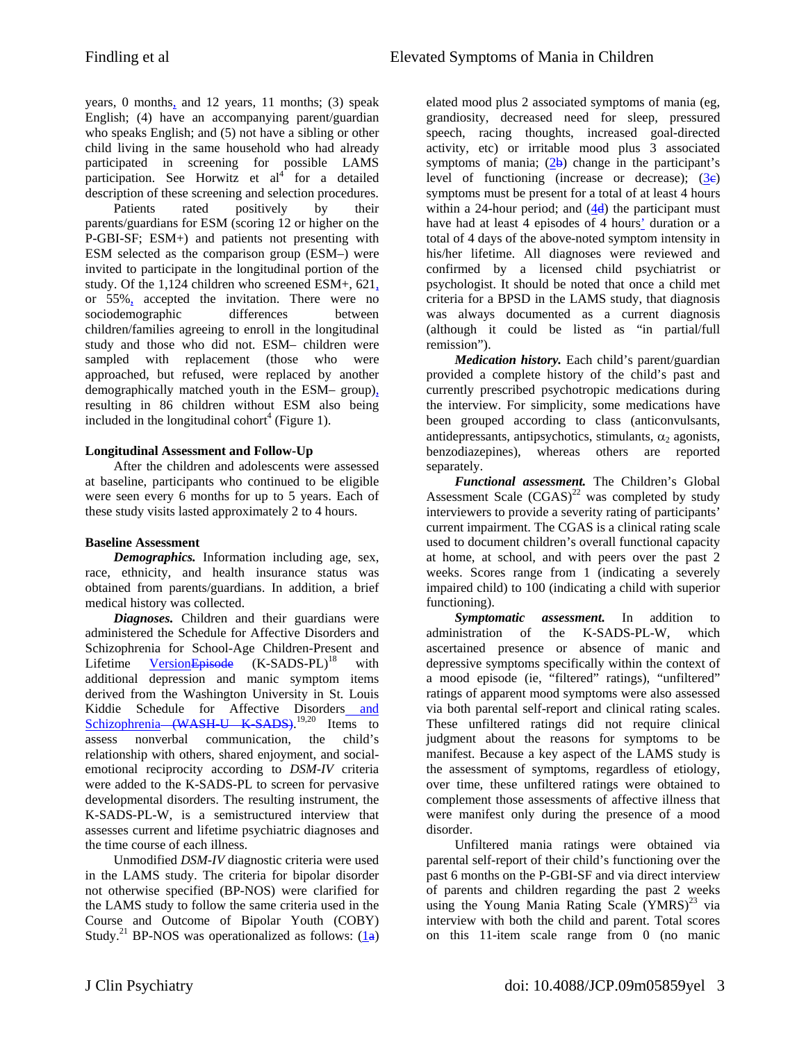years, 0 months, and 12 years, 11 months; (3) speak English; (4) have an accompanying parent/guardian who speaks English; and (5) not have a sibling or other child living in the same household who had already participated in screening for possible LAMS participation. See Horwitz et  $al<sup>4</sup>$  for a detailed description of these screening and selection procedures.

Patients rated positively by their parents/guardians for ESM (scoring 12 or higher on the P-GBI-SF; ESM+) and patients not presenting with ESM selected as the comparison group (ESM–) were invited to participate in the longitudinal portion of the study. Of the 1,124 children who screened ESM+, 621, or 55%, accepted the invitation. There were no sociodemographic differences between children/families agreeing to enroll in the longitudinal study and those who did not. ESM– children were sampled with replacement (those who were approached, but refused, were replaced by another demographically matched youth in the ESM– group), resulting in 86 children without ESM also being included in the longitudinal cohort<sup>4</sup> (Figure 1).

## **Longitudinal Assessment and Follow-Up**

After the children and adolescents were assessed at baseline, participants who continued to be eligible were seen every 6 months for up to 5 years. Each of these study visits lasted approximately 2 to 4 hours.

# **Baseline Assessment**

*Demographics.* Information including age, sex, race, ethnicity, and health insurance status was obtained from parents/guardians. In addition, a brief medical history was collected.

*Diagnoses.* Children and their guardians were administered the Schedule for Affective Disorders and Schizophrenia for School-Age Children-Present and Lifetime Version Episode  $(K-SADS-PL)^{18}$  with additional depression and manic symptom items derived from the Washington University in St. Louis Kiddie Schedule for Affective Disorders and Schizophrenia (WASH U K SADS).<sup>19,20</sup> Items to assess nonverbal communication, the child's relationship with others, shared enjoyment, and socialemotional reciprocity according to *DSM-IV* criteria were added to the K-SADS-PL to screen for pervasive developmental disorders. The resulting instrument, the K-SADS-PL-W, is a semistructured interview that assesses current and lifetime psychiatric diagnoses and the time course of each illness.

Unmodified *DSM-IV* diagnostic criteria were used in the LAMS study. The criteria for bipolar disorder not otherwise specified (BP-NOS) were clarified for the LAMS study to follow the same criteria used in the Course and Outcome of Bipolar Youth (COBY) Study.<sup>21</sup> BP-NOS was operationalized as follows:  $(1a)$ 

elated mood plus 2 associated symptoms of mania (eg, grandiosity, decreased need for sleep, pressured speech, racing thoughts, increased goal-directed activity, etc) or irritable mood plus  $\tilde{3}$  associated symptoms of mania;  $(2b)$  change in the participant's level of functioning (increase or decrease);  $(3e)$ symptoms must be present for a total of at least 4 hours within a 24-hour period; and  $(4d)$  the participant must have had at least 4 episodes of 4 hours' duration or a total of 4 days of the above-noted symptom intensity in his/her lifetime. All diagnoses were reviewed and confirmed by a licensed child psychiatrist or psychologist. It should be noted that once a child met criteria for a BPSD in the LAMS study, that diagnosis was always documented as a current diagnosis (although it could be listed as "in partial/full remission").

*Medication history.* Each child's parent/guardian provided a complete history of the child's past and currently prescribed psychotropic medications during the interview. For simplicity, some medications have been grouped according to class (anticonvulsants, antidepressants, antipsychotics, stimulants,  $\alpha_2$  agonists, benzodiazepines), whereas others are reported separately.

*Functional assessment.* The Children's Global Assessment Scale  $(CGAS)^{22}$  was completed by study interviewers to provide a severity rating of participants' current impairment. The CGAS is a clinical rating scale used to document children's overall functional capacity at home, at school, and with peers over the past 2 weeks. Scores range from 1 (indicating a severely impaired child) to 100 (indicating a child with superior functioning).

*Symptomatic assessment.* In addition to administration of the K-SADS-PL-W, which ascertained presence or absence of manic and depressive symptoms specifically within the context of a mood episode (ie, "filtered" ratings), "unfiltered" ratings of apparent mood symptoms were also assessed via both parental self-report and clinical rating scales. These unfiltered ratings did not require clinical judgment about the reasons for symptoms to be manifest. Because a key aspect of the LAMS study is the assessment of symptoms, regardless of etiology, over time, these unfiltered ratings were obtained to complement those assessments of affective illness that were manifest only during the presence of a mood disorder.

Unfiltered mania ratings were obtained via parental self-report of their child's functioning over the past 6 months on the P-GBI-SF and via direct interview of parents and children regarding the past 2 weeks using the Young Mania Rating Scale  $(YMRS)^{23}$  via interview with both the child and parent. Total scores on this 11-item scale range from 0 (no manic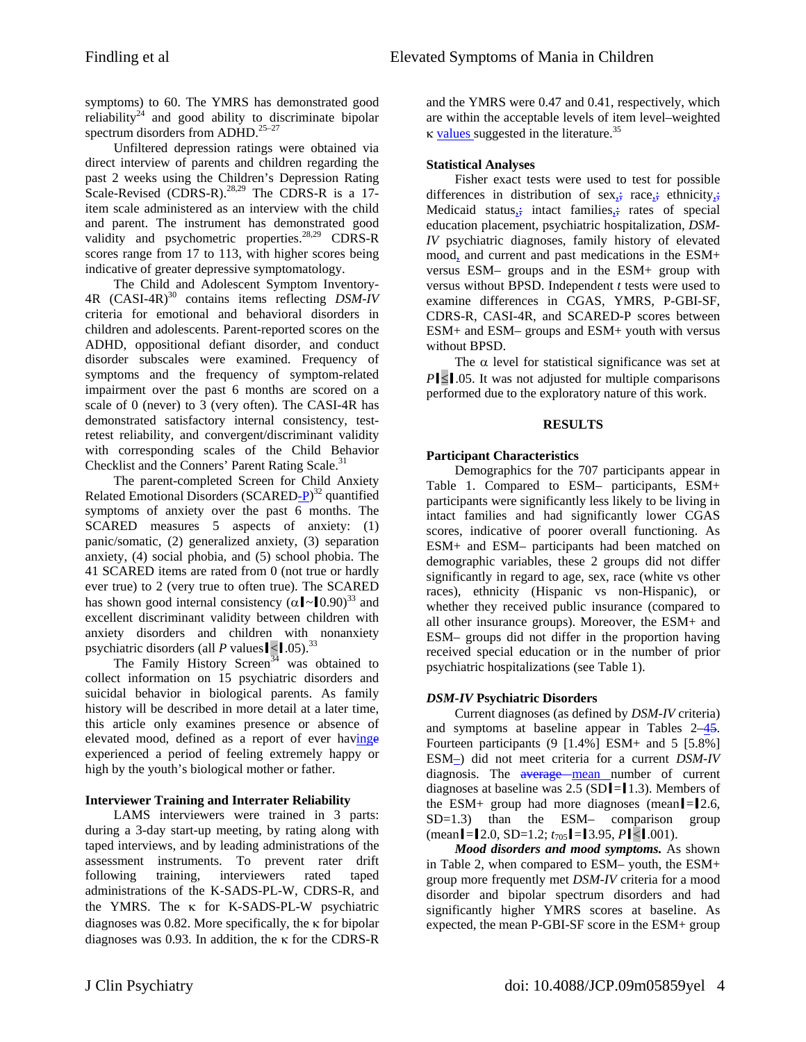symptoms) to 60. The YMRS has demonstrated good reliability<sup>24</sup> and good ability to discriminate bipolar spectrum disorders from ADHD.<sup>25-27</sup>

Unfiltered depression ratings were obtained via direct interview of parents and children regarding the past 2 weeks using the Children's Depression Rating Scale-Revised (CDRS-R).<sup>28,29</sup> The CDRS-R is a 17item scale administered as an interview with the child and parent. The instrument has demonstrated good validity and psychometric properties.<sup>28,29</sup> CDRS-R scores range from 17 to 113, with higher scores being indicative of greater depressive symptomatology.

The Child and Adolescent Symptom Inventory-4R (CASI-4R)30 contains items reflecting *DSM-IV* criteria for emotional and behavioral disorders in children and adolescents. Parent-reported scores on the ADHD, oppositional defiant disorder, and conduct disorder subscales were examined. Frequency of symptoms and the frequency of symptom-related impairment over the past 6 months are scored on a scale of 0 (never) to 3 (very often). The CASI-4R has demonstrated satisfactory internal consistency, testretest reliability, and convergent/discriminant validity with corresponding scales of the Child Behavior Checklist and the Conners' Parent Rating Scale.<sup>31</sup>

The parent-completed Screen for Child Anxiety Related Emotional Disorders (SCARED-P)<sup>32</sup> quantified symptoms of anxiety over the past 6 months. The SCARED measures 5 aspects of anxiety: (1) panic/somatic, (2) generalized anxiety, (3) separation anxiety, (4) social phobia, and (5) school phobia. The 41 SCARED items are rated from 0 (not true or hardly ever true) to 2 (very true to often true). The SCARED has shown good internal consistency  $(\alpha \cdot 0.90)^{33}$  and excellent discriminant validity between children with anxiety disorders and children with nonanxiety psychiatric disorders (all  $P$  values  $|$  <  $|$ .05).<sup>33</sup>

The Family History Screen<sup>34</sup> was obtained to collect information on 15 psychiatric disorders and suicidal behavior in biological parents. As family history will be described in more detail at a later time, this article only examines presence or absence of elevated mood, defined as a report of ever havinge experienced a period of feeling extremely happy or high by the youth's biological mother or father.

# **Interviewer Training and Interrater Reliability**

LAMS interviewers were trained in 3 parts: during a 3-day start-up meeting, by rating along with taped interviews, and by leading administrations of the assessment instruments. To prevent rater drift following training, interviewers rated taped administrations of the K-SADS-PL-W, CDRS-R, and the YMRS. The κ for K-SADS-PL-W psychiatric diagnoses was 0.82. More specifically, the κ for bipolar diagnoses was 0.93. In addition, the  $\kappa$  for the CDRS-R and the YMRS were 0.47 and 0.41, respectively, which are within the acceptable levels of item level–weighted  $κ$  values suggested in the literature.<sup>35</sup>

# **Statistical Analyses**

Fisher exact tests were used to test for possible differences in distribution of sex<sub>1</sub>; race<sub>1</sub>; ethnicity<sub>1</sub>; Medicaid status<sub>3</sub>; intact families<sub>3</sub>; rates of special education placement, psychiatric hospitalization, *DSM-IV* psychiatric diagnoses, family history of elevated mood, and current and past medications in the ESM+ versus ESM– groups and in the ESM+ group with versus without BPSD. Independent *t* tests were used to examine differences in CGAS, YMRS, P-GBI-SF, CDRS-R, CASI-4R, and SCARED-P scores between ESM+ and ESM– groups and ESM+ youth with versus without BPSD.

The  $\alpha$  level for statistical significance was set at *P***sol**.05. It was not adjusted for multiple comparisons performed due to the exploratory nature of this work.

## **RESULTS**

# **Participant Characteristics**

Demographics for the 707 participants appear in Table 1. Compared to ESM– participants, ESM+ participants were significantly less likely to be living in intact families and had significantly lower CGAS scores, indicative of poorer overall functioning. As ESM+ and ESM– participants had been matched on demographic variables, these 2 groups did not differ significantly in regard to age, sex, race (white vs other races), ethnicity (Hispanic vs non-Hispanic), or whether they received public insurance (compared to all other insurance groups). Moreover, the ESM+ and ESM– groups did not differ in the proportion having received special education or in the number of prior psychiatric hospitalizations (see Table 1).

## *DSM-IV* **Psychiatric Disorders**

Current diagnoses (as defined by *DSM-IV* criteria) and symptoms at baseline appear in Tables 2–45. Fourteen participants (9 [1.4%] ESM+ and 5 [5.8%] ESM–) did not meet criteria for a current *DSM-IV* diagnosis. The average mean number of current diagnoses at baseline was  $2.5$  (SD $I=1.3$ ). Members of the ESM+ group had more diagnoses (mean $\ell$ = $\ell$ 2.6, SD=1.3) than the ESM– comparison group  $(\text{mean} = 2.0, \text{SD} = 1.2; t_{705} = 3.95, P \le 0.001).$ 

*Mood disorders and mood symptoms.* As shown in Table 2, when compared to ESM– youth, the ESM+ group more frequently met *DSM-IV* criteria for a mood disorder and bipolar spectrum disorders and had significantly higher YMRS scores at baseline. As expected, the mean P-GBI-SF score in the ESM+ group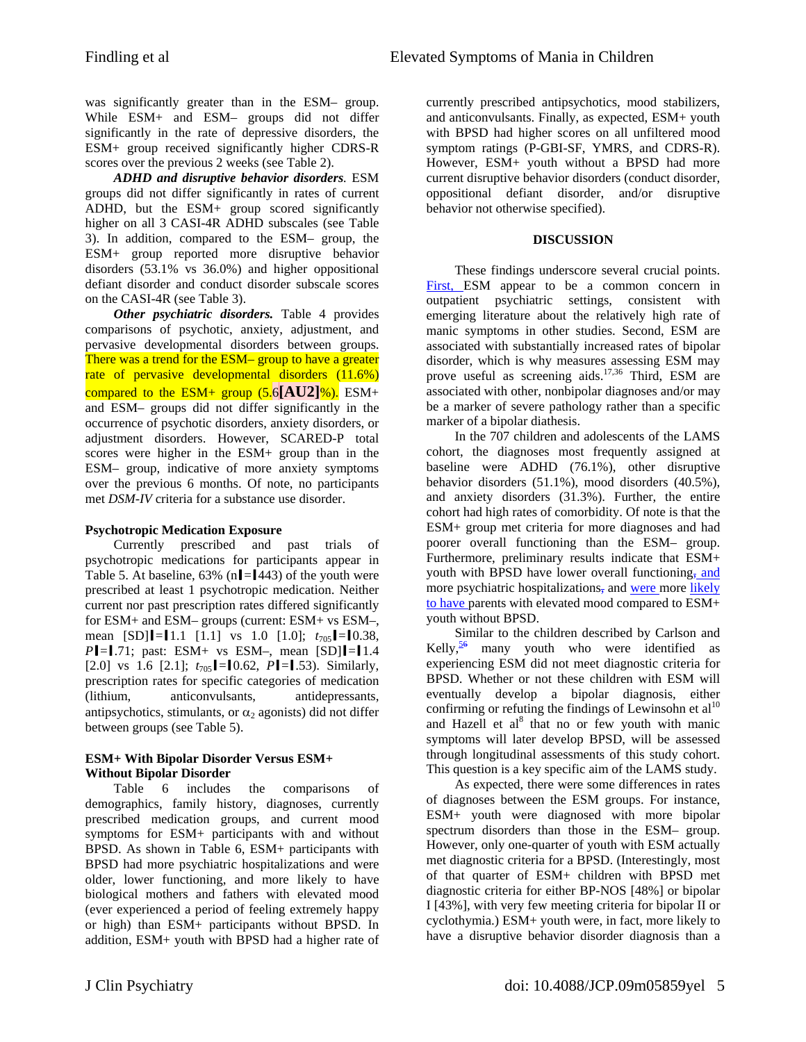was significantly greater than in the ESM– group. While ESM+ and ESM– groups did not differ significantly in the rate of depressive disorders, the ESM+ group received significantly higher CDRS-R scores over the previous 2 weeks (see Table 2).

*ADHD and disruptive behavior disorders.* ESM groups did not differ significantly in rates of current ADHD, but the ESM+ group scored significantly higher on all 3 CASI-4R ADHD subscales (see Table 3). In addition, compared to the ESM– group, the ESM+ group reported more disruptive behavior disorders (53.1% vs 36.0%) and higher oppositional defiant disorder and conduct disorder subscale scores on the CASI-4R (see Table 3).

*Other psychiatric disorders.* Table 4 provides comparisons of psychotic, anxiety, adjustment, and pervasive developmental disorders between groups. There was a trend for the ESM– group to have a greater rate of pervasive developmental disorders (11.6%) compared to the ESM+ group (5.6**[AU2]**%). ESM+ and ESM– groups did not differ significantly in the occurrence of psychotic disorders, anxiety disorders, or adjustment disorders. However, SCARED-P total scores were higher in the ESM+ group than in the ESM– group, indicative of more anxiety symptoms over the previous 6 months. Of note, no participants met *DSM-IV* criteria for a substance use disorder.

#### **Psychotropic Medication Exposure**

Currently prescribed and past trials of psychotropic medications for participants appear in Table 5. At baseline, 63% (n $\ell$ = $\ell$ 443) of the youth were prescribed at least 1 psychotropic medication. Neither current nor past prescription rates differed significantly for ESM+ and ESM– groups (current: ESM+ vs ESM–, mean  $[SD][-1.1 \t[1.1]$  vs 1.0  $[1.0]; t_{705}[-1.38,$ *P* $=$ **l**.71; past: ESM+ vs ESM-, mean [SD] $=$ **l**1.4 [2.0] vs 1.6 [2.1];  $t_{705}$  = [0.62, *P* | = [.53). Similarly, prescription rates for specific categories of medication (lithium, anticonvulsants, antidepressants, antipsychotics, stimulants, or  $\alpha_2$  agonists) did not differ between groups (see Table 5).

#### **ESM+ With Bipolar Disorder Versus ESM+ Without Bipolar Disorder**

Table 6 includes the comparisons of demographics, family history, diagnoses, currently prescribed medication groups, and current mood symptoms for ESM+ participants with and without BPSD. As shown in Table 6, ESM+ participants with BPSD had more psychiatric hospitalizations and were older, lower functioning, and more likely to have biological mothers and fathers with elevated mood (ever experienced a period of feeling extremely happy or high) than ESM+ participants without BPSD. In addition, ESM+ youth with BPSD had a higher rate of

currently prescribed antipsychotics, mood stabilizers, and anticonvulsants. Finally, as expected, ESM+ youth with BPSD had higher scores on all unfiltered mood symptom ratings (P-GBI-SF, YMRS, and CDRS-R). However, ESM+ youth without a BPSD had more current disruptive behavior disorders (conduct disorder, oppositional defiant disorder, and/or disruptive behavior not otherwise specified).

#### **DISCUSSION**

These findings underscore several crucial points. First, ESM appear to be a common concern in outpatient psychiatric settings, consistent with emerging literature about the relatively high rate of manic symptoms in other studies. Second, ESM are associated with substantially increased rates of bipolar disorder, which is why measures assessing ESM may prove useful as screening aids.<sup>17,36</sup> Third, ESM are associated with other, nonbipolar diagnoses and/or may be a marker of severe pathology rather than a specific marker of a bipolar diathesis.

In the 707 children and adolescents of the LAMS cohort, the diagnoses most frequently assigned at baseline were ADHD (76.1%), other disruptive behavior disorders (51.1%), mood disorders (40.5%), and anxiety disorders (31.3%). Further, the entire cohort had high rates of comorbidity. Of note is that the ESM+ group met criteria for more diagnoses and had poorer overall functioning than the ESM– group. Furthermore, preliminary results indicate that ESM+ youth with BPSD have lower overall functioning, and more psychiatric hospitalizations, and were more likely to have parents with elevated mood compared to ESM+ youth without BPSD.

Similar to the children described by Carlson and Kelly, $\frac{56}{ }$  many youth who were identified as experiencing ESM did not meet diagnostic criteria for BPSD. Whether or not these children with ESM will eventually develop a bipolar diagnosis, either confirming or refuting the findings of Lewinsohn et  $al<sup>10</sup>$ and Hazell et al<sup>8</sup> that no or few youth with manic symptoms will later develop BPSD, will be assessed through longitudinal assessments of this study cohort. This question is a key specific aim of the LAMS study.

As expected, there were some differences in rates of diagnoses between the ESM groups. For instance, ESM+ youth were diagnosed with more bipolar spectrum disorders than those in the ESM– group. However, only one-quarter of youth with ESM actually met diagnostic criteria for a BPSD. (Interestingly, most of that quarter of ESM+ children with BPSD met diagnostic criteria for either BP-NOS [48%] or bipolar I [43%], with very few meeting criteria for bipolar II or cyclothymia.) ESM+ youth were, in fact, more likely to have a disruptive behavior disorder diagnosis than a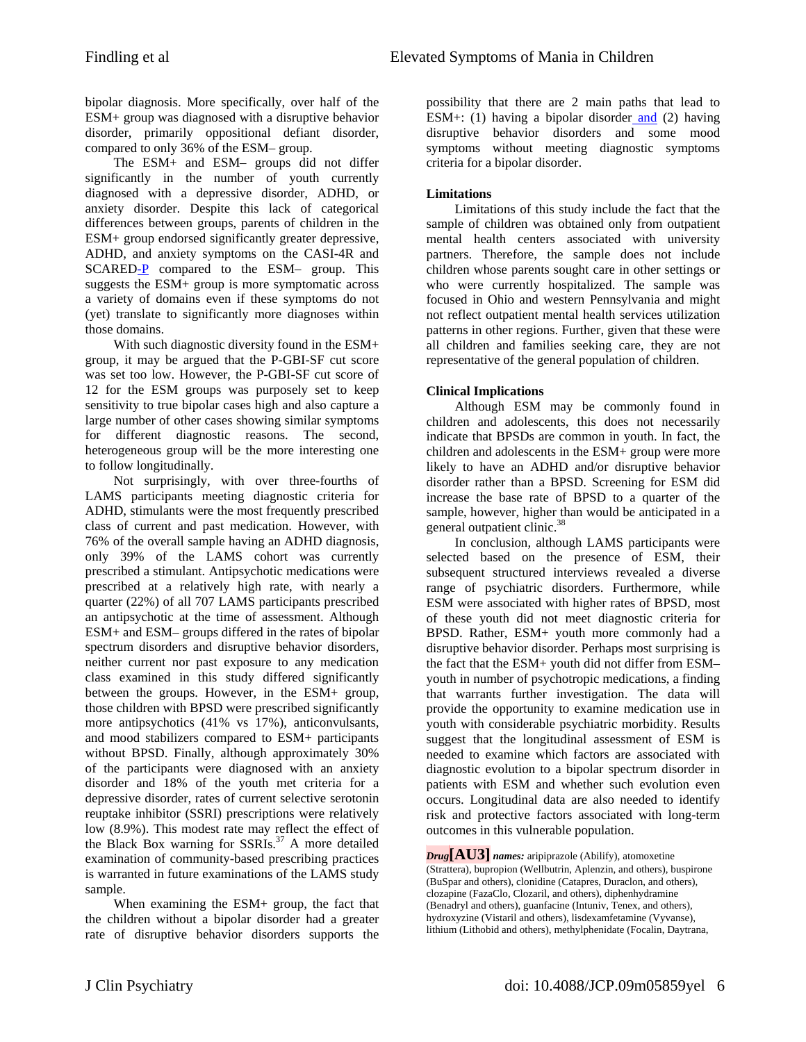bipolar diagnosis. More specifically, over half of the ESM+ group was diagnosed with a disruptive behavior disorder, primarily oppositional defiant disorder, compared to only 36% of the ESM– group.

The ESM+ and ESM– groups did not differ significantly in the number of youth currently diagnosed with a depressive disorder, ADHD, or anxiety disorder. Despite this lack of categorical differences between groups, parents of children in the ESM+ group endorsed significantly greater depressive, ADHD, and anxiety symptoms on the CASI-4R and SCARED-P compared to the ESM– group. This suggests the ESM+ group is more symptomatic across a variety of domains even if these symptoms do not (yet) translate to significantly more diagnoses within those domains.

With such diagnostic diversity found in the ESM+ group, it may be argued that the P-GBI-SF cut score was set too low. However, the P-GBI-SF cut score of 12 for the ESM groups was purposely set to keep sensitivity to true bipolar cases high and also capture a large number of other cases showing similar symptoms for different diagnostic reasons. The second, heterogeneous group will be the more interesting one to follow longitudinally.

Not surprisingly, with over three-fourths of LAMS participants meeting diagnostic criteria for ADHD, stimulants were the most frequently prescribed class of current and past medication. However, with 76% of the overall sample having an ADHD diagnosis, only 39% of the LAMS cohort was currently prescribed a stimulant. Antipsychotic medications were prescribed at a relatively high rate, with nearly a quarter (22%) of all 707 LAMS participants prescribed an antipsychotic at the time of assessment. Although ESM+ and ESM– groups differed in the rates of bipolar spectrum disorders and disruptive behavior disorders, neither current nor past exposure to any medication class examined in this study differed significantly between the groups. However, in the ESM+ group, those children with BPSD were prescribed significantly more antipsychotics (41% vs 17%), anticonvulsants, and mood stabilizers compared to ESM+ participants without BPSD. Finally, although approximately 30% of the participants were diagnosed with an anxiety disorder and 18% of the youth met criteria for a depressive disorder, rates of current selective serotonin reuptake inhibitor (SSRI) prescriptions were relatively low (8.9%). This modest rate may reflect the effect of the Black Box warning for  $SSRIs.<sup>37</sup>$  A more detailed examination of community-based prescribing practices is warranted in future examinations of the LAMS study sample.

When examining the ESM+ group, the fact that the children without a bipolar disorder had a greater rate of disruptive behavior disorders supports the

possibility that there are 2 main paths that lead to ESM+: (1) having a bipolar disorder and (2) having disruptive behavior disorders and some mood symptoms without meeting diagnostic symptoms criteria for a bipolar disorder.

#### **Limitations**

Limitations of this study include the fact that the sample of children was obtained only from outpatient mental health centers associated with university partners. Therefore, the sample does not include children whose parents sought care in other settings or who were currently hospitalized. The sample was focused in Ohio and western Pennsylvania and might not reflect outpatient mental health services utilization patterns in other regions. Further, given that these were all children and families seeking care, they are not representative of the general population of children.

## **Clinical Implications**

Although ESM may be commonly found in children and adolescents, this does not necessarily indicate that BPSDs are common in youth. In fact, the children and adolescents in the ESM+ group were more likely to have an ADHD and/or disruptive behavior disorder rather than a BPSD. Screening for ESM did increase the base rate of BPSD to a quarter of the sample, however, higher than would be anticipated in a general outpatient clinic.<sup>38</sup>

In conclusion, although LAMS participants were selected based on the presence of ESM, their subsequent structured interviews revealed a diverse range of psychiatric disorders. Furthermore, while ESM were associated with higher rates of BPSD, most of these youth did not meet diagnostic criteria for BPSD. Rather, ESM+ youth more commonly had a disruptive behavior disorder. Perhaps most surprising is the fact that the ESM+ youth did not differ from ESM– youth in number of psychotropic medications, a finding that warrants further investigation. The data will provide the opportunity to examine medication use in youth with considerable psychiatric morbidity. Results suggest that the longitudinal assessment of ESM is needed to examine which factors are associated with diagnostic evolution to a bipolar spectrum disorder in patients with ESM and whether such evolution even occurs. Longitudinal data are also needed to identify risk and protective factors associated with long-term outcomes in this vulnerable population.

*Drug***[AU3]** *names:* aripiprazole (Abilify), atomoxetine (Strattera), bupropion (Wellbutrin, Aplenzin, and others), buspirone (BuSpar and others), clonidine (Catapres, Duraclon, and others), clozapine (FazaClo, Clozaril, and others), diphenhydramine (Benadryl and others), guanfacine (Intuniv, Tenex, and others), hydroxyzine (Vistaril and others), lisdexamfetamine (Vyvanse), lithium (Lithobid and others), methylphenidate (Focalin, Daytrana,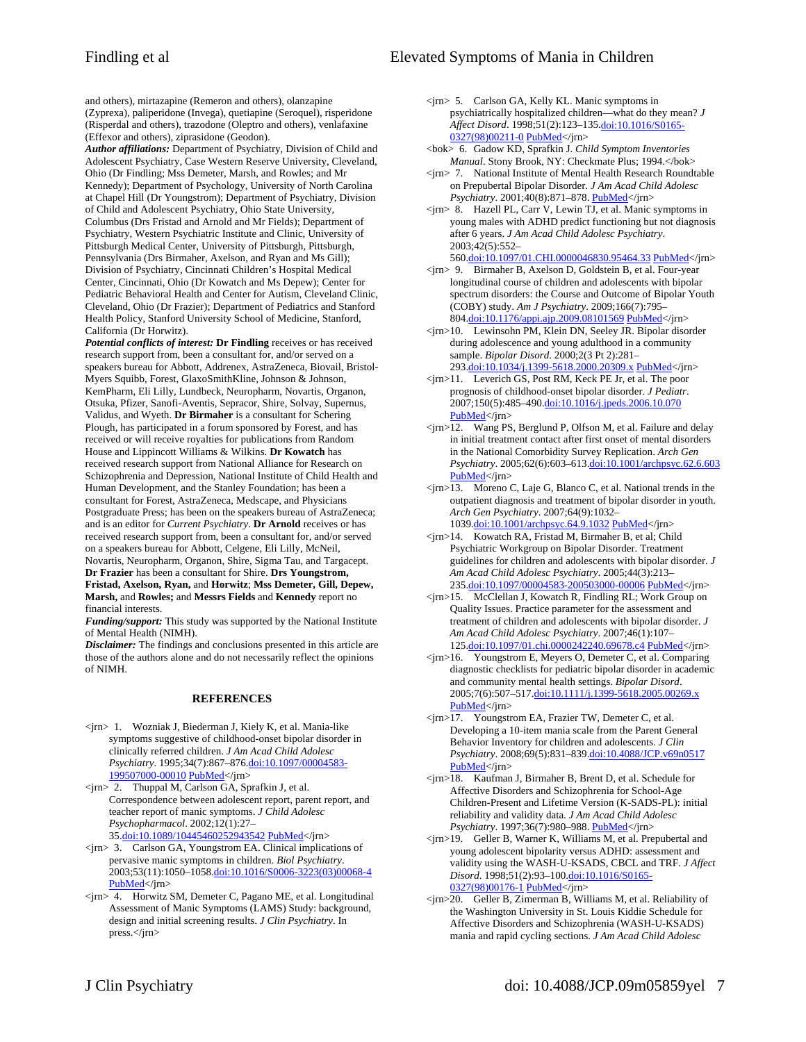and others), mirtazapine (Remeron and others), olanzapine (Zyprexa), paliperidone (Invega), quetiapine (Seroquel), risperidone (Risperdal and others), trazodone (Oleptro and others), venlafaxine (Effexor and others), ziprasidone (Geodon).

*Author affiliations:* Department of Psychiatry, Division of Child and Adolescent Psychiatry, Case Western Reserve University, Cleveland, Ohio (Dr Findling; Mss Demeter, Marsh, and Rowles; and Mr Kennedy); Department of Psychology, University of North Carolina at Chapel Hill (Dr Youngstrom); Department of Psychiatry, Division of Child and Adolescent Psychiatry, Ohio State University, Columbus (Drs Fristad and Arnold and Mr Fields); Department of Psychiatry, Western Psychiatric Institute and Clinic, University of Pittsburgh Medical Center, University of Pittsburgh, Pittsburgh, Pennsylvania (Drs Birmaher, Axelson, and Ryan and Ms Gill); Division of Psychiatry, Cincinnati Children's Hospital Medical Center, Cincinnati, Ohio (Dr Kowatch and Ms Depew); Center for Pediatric Behavioral Health and Center for Autism, Cleveland Clinic, Cleveland, Ohio (Dr Frazier); Department of Pediatrics and Stanford Health Policy, Stanford University School of Medicine, Stanford, California (Dr Horwitz).

*Potential conflicts of interest:* **Dr Findling** receives or has received research support from, been a consultant for, and/or served on a speakers bureau for Abbott, Addrenex, AstraZeneca, Biovail, Bristol-Myers Squibb, Forest, GlaxoSmithKline, Johnson & Johnson, KemPharm, Eli Lilly, Lundbeck, Neuropharm, Novartis, Organon, Otsuka, Pfizer, Sanofi-Aventis, Sepracor, Shire, Solvay, Supernus, Validus, and Wyeth. **Dr Birmaher** is a consultant for Schering Plough, has participated in a forum sponsored by Forest, and has received or will receive royalties for publications from Random House and Lippincott Williams & Wilkins. **Dr Kowatch** has received research support from National Alliance for Research on Schizophrenia and Depression, National Institute of Child Health and Human Development, and the Stanley Foundation; has been a consultant for Forest, AstraZeneca, Medscape, and Physicians Postgraduate Press; has been on the speakers bureau of AstraZeneca; and is an editor for *Current Psychiatry*. **Dr Arnold** receives or has received research support from, been a consultant for, and/or served on a speakers bureau for Abbott, Celgene, Eli Lilly, McNeil, Novartis, Neuropharm, Organon, Shire, Sigma Tau, and Targacept. **Dr Frazier** has been a consultant for Shire. **Drs Youngstrom, Fristad, Axelson, Ryan,** and **Horwitz**; **Mss Demeter, Gill, Depew, Marsh,** and **Rowles;** and **Messrs Fields** and **Kennedy** report no financial interests.

*Funding/support:* This study was supported by the National Institute of Mental Health (NIMH).

*Disclaimer:* The findings and conclusions presented in this article are those of the authors alone and do not necessarily reflect the opinions of NIMH.

#### **REFERENCES**

- <jrn> 1. Wozniak J, Biederman J, Kiely K, et al. Mania-like symptoms suggestive of childhood-onset bipolar disorder in clinically referred children. *J Am Acad Child Adolesc Psychiatry*. 1995;34(7):867–876.[doi:10.1097/00004583-](http://dx.doi.org/10.1097/00004583-199507000-00010) [199507000-00010](http://dx.doi.org/10.1097/00004583-199507000-00010) [PubMed<](http://www.ncbi.nlm.nih.gov/entrez/query.fcgi?cmd=Retrieve&db=PubMed&list_uids=7649957&dopt=Abstract)/jrn>
- <jrn> 2. Thuppal M, Carlson GA, Sprafkin J, et al. Correspondence between adolescent report, parent report, and teacher report of manic symptoms. *J Child Adolesc Psychopharmacol*. 2002;12(1):27– 35.[doi:10.1089/10445460252943542](http://dx.doi.org/10.1089/10445460252943542) [PubMed<](http://www.ncbi.nlm.nih.gov/entrez/query.fcgi?cmd=Retrieve&db=PubMed&list_uids=12014592&dopt=Abstract)/jrn>
- <jrn> 3. Carlson GA, Youngstrom EA. Clinical implications of pervasive manic symptoms in children. *Biol Psychiatry*. 2003;53(11):1050–1058.[doi:10.1016/S0006-3223\(03\)00068-4](http://dx.doi.org/10.1016/S0006-3223(03)00068-4) [PubMed<](http://www.ncbi.nlm.nih.gov/entrez/query.fcgi?cmd=Retrieve&db=PubMed&list_uids=12788250&dopt=Abstract)/jrn>
- <jrn> 4. Horwitz SM, Demeter C, Pagano ME, et al. Longitudinal Assessment of Manic Symptoms (LAMS) Study: background, design and initial screening results. *J Clin Psychiatry*. In press.</jrn>
- <jrn> 5. Carlson GA, Kelly KL. Manic symptoms in psychiatrically hospitalized children—what do they mean? *J Affect Disord*. 1998;51(2):123–135.[doi:10.1016/S0165-](http://dx.doi.org/10.1016/S0165-0327(98)00211-0) [0327\(98\)00211-0](http://dx.doi.org/10.1016/S0165-0327(98)00211-0) [PubMed](http://www.ncbi.nlm.nih.gov/entrez/query.fcgi?cmd=Retrieve&db=PubMed&list_uids=10743845&dopt=Abstract)</jrn>
- <bok> 6. Gadow KD, Sprafkin J. *Child Symptom Inventories Manual*. Stony Brook, NY: Checkmate Plus; 1994.</bok>
- <jrn> 7. National Institute of Mental Health Research Roundtable on Prepubertal Bipolar Disorder. *J Am Acad Child Adolesc Psychiatry*. 2001;40(8):871–878[. PubMed](http://www.ncbi.nlm.nih.gov/entrez/query.fcgi?cmd=Retrieve&db=PubMed&list_uids=11501685&dopt=Abstract)</jrn>
- <jrn> 8. Hazell PL, Carr V, Lewin TJ, et al. Manic symptoms in young males with ADHD predict functioning but not diagnosis after 6 years. *J Am Acad Child Adolesc Psychiatry*. 2003;42(5):552–
- 560[.doi:10.1097/01.CHI.0000046830.95464.33](http://dx.doi.org/10.1097/01.CHI.0000046830.95464.33) [PubMed<](http://www.ncbi.nlm.nih.gov/entrez/query.fcgi?cmd=Retrieve&db=PubMed&list_uids=12707559&dopt=Abstract)/jrn> <jrn> 9. Birmaher B, Axelson D, Goldstein B, et al. Four-year longitudinal course of children and adolescents with bipolar spectrum disorders: the Course and Outcome of Bipolar Youth (COBY) study. *Am J Psychiatry*. 2009;166(7):795– 804[.doi:10.1176/appi.ajp.2009.08101569](http://dx.doi.org/10.1176/appi.ajp.2009.08101569) [PubMed](http://www.ncbi.nlm.nih.gov/entrez/query.fcgi?cmd=Retrieve&db=PubMed&list_uids=19448190&dopt=Abstract)</jrn>
- <jrn>10. Lewinsohn PM, Klein DN, Seeley JR. Bipolar disorder during adolescence and young adulthood in a community sample. *Bipolar Disord*. 2000;2(3 Pt 2):281– 293[.doi:10.1034/j.1399-5618.2000.20309.x](http://dx.doi.org/10.1034/j.1399-5618.2000.20309.x) [PubMed<](http://www.ncbi.nlm.nih.gov/entrez/query.fcgi?cmd=Retrieve&db=PubMed&list_uids=11249806&dopt=Abstract)/jrn>
- <jrn>11. Leverich GS, Post RM, Keck PE Jr, et al. The poor prognosis of childhood-onset bipolar disorder. *J Pedia[tr](http://www.ncbi.nlm.nih.gov/entrez/query.fcgi?cmd=Retrieve&db=PubMed&list_uids=17452221&dopt=Abstract)*. 2007;150(5):485–490.[doi:10.1016/j.jpeds.2006.10.070](http://dx.doi.org/10.1016/j.jpeds.2006.10.070) [PubMed](http://www.ncbi.nlm.nih.gov/entrez/query.fcgi?cmd=Retrieve&db=PubMed&list_uids=17452221&dopt=Abstract)</jrn>
- <jrn>12. Wang PS, Berglund P, Olfson M, et al. Failure and delay in initial treatment contact after first onset of mental disorders in the National Comorbidity Survey Replication. *Arch Gen Psychiatry*. 2005;62(6):603–613[.doi:10.1001/archpsyc.62.6.603](http://dx.doi.org/10.1001/archpsyc.62.6.603) [PubMed](http://www.ncbi.nlm.nih.gov/entrez/query.fcgi?cmd=Retrieve&db=PubMed&list_uids=15939838&dopt=Abstract)</jrn>
- <jrn>13. Moreno C, Laje G, Blanco C, et al. National trends in the outpatient diagnosis and treatment of bipolar disorder in youth. *Arch Gen Psychiatry*. 2007;64(9):1032– 1039[.doi:10.1001/archpsyc.64.9.1032](http://dx.doi.org/10.1001/archpsyc.64.9.1032) [PubMed](http://www.ncbi.nlm.nih.gov/entrez/query.fcgi?cmd=Retrieve&db=PubMed&list_uids=17768268&dopt=Abstract)</jrn>
- <jrn>14. Kowatch RA, Fristad M, Birmaher B, et al; Child Psychiatric Workgroup on Bipolar Disorder. Treatment guidelines for children and adolescents with bipolar disorder. *J Am Acad Child Adolesc Psychiatry*. 2005;44(3):213– 235[.doi:10.1097/00004583-200503000-00006](http://dx.doi.org/10.1097/00004583-200503000-00006) [PubMed](http://www.ncbi.nlm.nih.gov/entrez/query.fcgi?cmd=Retrieve&db=PubMed&list_uids=15725966&dopt=Abstract)</jrn>
- <jrn>15. McClellan J, Kowatch R, Findling RL; Work Group on Quality Issues. Practice parameter for the assessment and treatment of children and adolescents with bipolar disorder. *J Am Acad Child Adolesc Psychiatry*. 2007;46(1):107– 125[.doi:10.1097/01.chi.0000242240.69678.c4](http://dx.doi.org/10.1097/01.chi.0000242240.69678.c4) [PubMed](http://www.ncbi.nlm.nih.gov/entrez/query.fcgi?cmd=Retrieve&db=PubMed&list_uids=17195735&dopt=Abstract)</jrn>
- <jrn>16. Youngstrom E, Meyers O, Demeter C, et al. Comparing diagnostic checklists for pediatric bipolar disorder in academic and community mental health settings. *Bipolar Disord*. 2005;7(6):507–517.[doi:10.1111/j.1399-5618.2005.00269.x](http://dx.doi.org/10.1111/j.1399-5618.2005.00269.x) [PubMed](http://www.ncbi.nlm.nih.gov/entrez/query.fcgi?cmd=Retrieve&db=PubMed&list_uids=16403176&dopt=Abstract)</jrn>
- <jrn>17. Youngstrom EA, Frazier TW, Demeter C, et al. Developing a 10-item mania scale from the Parent General Behavior Inventory for children and adolescents. *J Clin Psychiatry*. 2008;69(5):831–839[.doi:10.4088/JCP.v69n0517](http://dx.doi.org/10.4088/JCP.v69n0517) [PubMed](http://www.ncbi.nlm.nih.gov/entrez/query.fcgi?cmd=Retrieve&db=PubMed&list_uids=18452343&dopt=Abstract)</jrn>
- <jrn>18. Kaufman J, Birmaher B, Brent D, et al. Schedule for Affective Disorders and Schizophrenia for School-Age Children-Present and Lifetime Version (K-SADS-PL): initial reliability and validity data. *J Am Acad Child Adolesc Psychiatry*. 1997;36(7):980–988[. PubMed](http://www.ncbi.nlm.nih.gov/entrez/query.fcgi?cmd=Retrieve&db=PubMed&list_uids=9204677&dopt=Abstract)</jrn>
- <jrn>19. Geller B, Warner K, Williams M, et al. Prepubertal and young adolescent bipolarity versus ADHD: assessment and validity using the WASH-U-KSADS, CBCL and TRF. *J Affect Disord*. 1998;51(2):93–100[.doi:10.1016/S0165-](http://dx.doi.org/10.1016/S0165-0327(98)00176-1) [0327\(98\)00176-1](http://dx.doi.org/10.1016/S0165-0327(98)00176-1) [PubMed](http://www.ncbi.nlm.nih.gov/entrez/query.fcgi?cmd=Retrieve&db=PubMed&list_uids=10743842&dopt=Abstract)</jrn>
- <jrn>20. Geller B, Zimerman B, Williams M, et al. Reliability of the Washington University in St. Louis Kiddie Schedule for Affective Disorders and Schizophrenia (WASH-U-KSADS) mania and rapid cycling sections. *J Am Acad Child Adolesc*